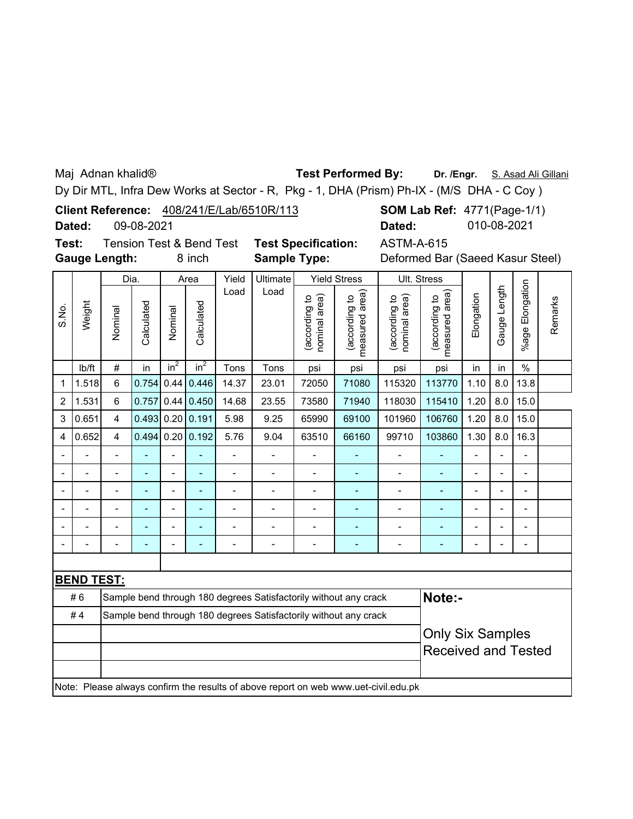Maj Adnan khalid®

## **Test Performed By:**

Dr. /Engr. S. Asad Ali Gillani

Dy Dir MTL, Infra Dew Works at Sector - R, Pkg - 1, DHA (Prism) Ph-IX - (M/S DHA - C Coy )

| <b>Client Reference:</b> | 408/241/E/Lab/6510R/113 |
|--------------------------|-------------------------|
|                          |                         |

09-08-2021 **Dated:**

**Test: Gauge Length:**

Tension Test & Bend Test **Test Specification:**

| ኔ Bend Test | <b>Test Specification:</b> | ASTM-A-615                       |
|-------------|----------------------------|----------------------------------|
| 8 inch      | <b>Sample Type:</b>        | Deformed Bar (Saeed Kasur Steel) |

**SOM Lab Ref: 4771(Page-1/1)** 

**Dated:** 010-08-2021

| Gauge Length<br>Load<br>Load<br>measured area)<br>measured area)<br>Elongation<br>nominal area)<br>nominal area)<br>(according to<br>(according to<br>according to<br>(according to<br>Calculated<br>Calculated<br>Weight<br>S.No.<br>Nominal<br>Nominal | %age Elongation<br>$\%$    | Remarks |  |  |
|----------------------------------------------------------------------------------------------------------------------------------------------------------------------------------------------------------------------------------------------------------|----------------------------|---------|--|--|
|                                                                                                                                                                                                                                                          |                            |         |  |  |
| $in^2$<br>$in^2$<br>$\#$<br>Tons<br>lb/ft<br>in<br>Tons<br>in<br>in<br>psi<br>psi<br>psi<br>psi                                                                                                                                                          |                            |         |  |  |
| 0.44<br>0.446<br>6<br>0.754<br>14.37<br>23.01<br>72050<br>71080<br>115320<br>113770<br>1.10<br>8.0<br>1.518<br>1                                                                                                                                         | 13.8                       |         |  |  |
| 6<br>0.757<br>0.44<br>0.450<br>14.68<br>1.20<br>8.0<br>1.531<br>23.55<br>73580<br>71940<br>118030<br>115410<br>2                                                                                                                                         | 15.0                       |         |  |  |
| 0.20   0.191<br>0.493<br>5.98<br>9.25<br>65990<br>101960<br>106760<br>1.20<br>8.0<br>0.651<br>$\overline{4}$<br>69100<br>3                                                                                                                               | 15.0                       |         |  |  |
| $0.20$ 0.192<br>0.494<br>103860<br>1.30<br>8.0<br>0.652<br>$\overline{\mathbf{4}}$<br>5.76<br>9.04<br>63510<br>66160<br>99710<br>4                                                                                                                       | 16.3                       |         |  |  |
| $\overline{a}$<br>L,                                                                                                                                                                                                                                     |                            |         |  |  |
| ÷<br>$\overline{a}$<br>$\blacksquare$<br>÷<br>$\blacksquare$                                                                                                                                                                                             |                            |         |  |  |
| $\overline{a}$<br>$\blacksquare$<br>÷<br>Ĭ.                                                                                                                                                                                                              |                            |         |  |  |
| $\blacksquare$<br>$\blacksquare$<br>$\overline{a}$<br>$\blacksquare$<br>-<br>۰<br>۰<br>$\blacksquare$                                                                                                                                                    |                            |         |  |  |
| $\blacksquare$<br>$\overline{a}$<br>Ĭ.<br>Ē,                                                                                                                                                                                                             |                            |         |  |  |
| $\overline{a}$<br>$\blacksquare$<br>$\blacksquare$<br>۳<br>$\overline{a}$                                                                                                                                                                                |                            |         |  |  |
|                                                                                                                                                                                                                                                          |                            |         |  |  |
| <b>BEND TEST:</b>                                                                                                                                                                                                                                        |                            |         |  |  |
| #6<br>Note:-<br>Sample bend through 180 degrees Satisfactorily without any crack                                                                                                                                                                         |                            |         |  |  |
| #4<br>Sample bend through 180 degrees Satisfactorily without any crack                                                                                                                                                                                   |                            |         |  |  |
| <b>Only Six Samples</b>                                                                                                                                                                                                                                  |                            |         |  |  |
|                                                                                                                                                                                                                                                          | <b>Received and Tested</b> |         |  |  |
|                                                                                                                                                                                                                                                          |                            |         |  |  |
| Note: Please always confirm the results of above report on web www.uet-civil.edu.pk                                                                                                                                                                      |                            |         |  |  |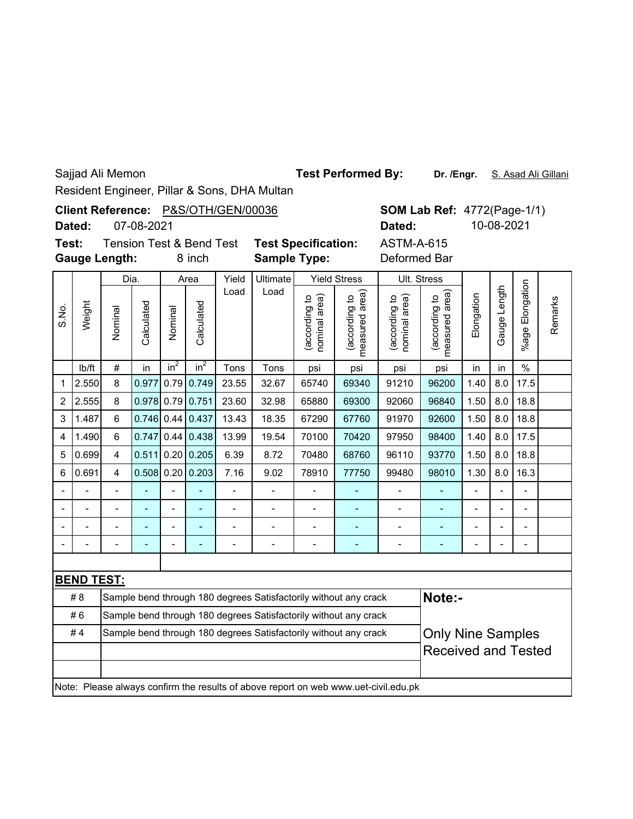Sajjad Ali Memon

## **Test Performed By:**

Dr. /Engr. S. Asad Ali Gillani

Resident Engineer, Pillar & Sons, DHA Multan

| <b>Client Reference:</b> |            | P&S/OTH/GEN/00036 |  |  |  |  |  |
|--------------------------|------------|-------------------|--|--|--|--|--|
| Dated:                   | 07-08-2021 |                   |  |  |  |  |  |

**SOM Lab Ref: 4772(Page-1/1)** ASTM-A-615 **Dated:** 10-08-2021

| Test: | <b>Tension Test &amp; Be</b> |      |
|-------|------------------------------|------|
|       | <b>Gauge Length:</b>         | 8 in |

8 inch **Sample Type:** Deformed Bar **nd Test Test Specification:** 

|                          |                                                                                     | Dia.           |              | Area           |                    | Yield          | <b>Ultimate</b> | <b>Yield Stress</b>            |                                                                  | Ult. Stress                    |                                 |                |                          |                      |         |
|--------------------------|-------------------------------------------------------------------------------------|----------------|--------------|----------------|--------------------|----------------|-----------------|--------------------------------|------------------------------------------------------------------|--------------------------------|---------------------------------|----------------|--------------------------|----------------------|---------|
| S.No.                    | Weight                                                                              | Nominal        | Calculated   | Nominal        | Calculated         | Load           | Load            | (according to<br>nominal area) | measured area)<br>according to                                   | (according to<br>nominal area) | measured area)<br>(according to | Elongation     | Gauge Length             | Elongation<br>%age I | Remarks |
|                          | lb/ft                                                                               | $\#$           | in           | $in^2$         | $in^2$             | Tons           | Tons            | psi                            | psi                                                              | psi                            | psi                             | in             | in                       | $\frac{0}{0}$        |         |
| 1                        | 2.550                                                                               | 8              | 0.977        | 0.79           | 0.749              | 23.55          | 32.67           | 65740                          | 69340                                                            | 91210                          | 96200                           | 1.40           | 8.0                      | 17.5                 |         |
| 2                        | 2.555                                                                               | 8              | 0.978 0.79   |                | 0.751              | 23.60          | 32.98           | 65880                          | 69300                                                            | 92060                          | 96840                           | 1.50           | 8.0                      | 18.8                 |         |
| 3                        | 1.487                                                                               | $6\phantom{1}$ | $0.746$ 0.44 |                | 0.437              | 13.43          | 18.35           | 67290                          | 67760                                                            | 91970                          | 92600                           | 1.50           | 8.0                      | 18.8                 |         |
| 4                        | 1.490                                                                               | $6\phantom{1}$ | 0.747        | 0.44           | 0.438              | 13.99          | 19.54           | 70100                          | 70420                                                            | 97950                          | 98400                           | 1.40           | 8.0                      | 17.5                 |         |
| 5                        | 0.699                                                                               | $\overline{4}$ | 0.511        |                | 0.20   0.205       | 6.39           | 8.72            | 70480                          | 68760                                                            | 96110                          | 93770                           | 1.50           | 8.0                      | 18.8                 |         |
| 6                        | 0.691                                                                               | 4              |              |                | $0.508$ 0.20 0.203 | 7.16           | 9.02            | 78910                          | 77750                                                            | 99480                          | 98010                           | 1.30           | 8.0                      | 16.3                 |         |
|                          |                                                                                     |                |              |                |                    |                |                 |                                |                                                                  |                                |                                 |                |                          |                      |         |
| $\overline{\phantom{a}}$ |                                                                                     |                |              | $\overline{a}$ | ÷                  |                |                 |                                |                                                                  |                                |                                 | -              | $\overline{\phantom{a}}$ | $\blacksquare$       |         |
|                          |                                                                                     | $\overline{a}$ |              | $\overline{a}$ | $\blacksquare$     | $\overline{a}$ |                 | ÷                              |                                                                  |                                |                                 | $\blacksquare$ | $\overline{a}$           | $\blacksquare$       |         |
|                          |                                                                                     |                |              | $\overline{a}$ | $\blacksquare$     | -              |                 | ۰                              |                                                                  |                                |                                 |                |                          |                      |         |
|                          |                                                                                     |                |              |                |                    |                |                 |                                |                                                                  |                                |                                 |                |                          |                      |         |
|                          | <b>BEND TEST:</b>                                                                   |                |              |                |                    |                |                 |                                |                                                                  |                                |                                 |                |                          |                      |         |
|                          | #8                                                                                  |                |              |                |                    |                |                 |                                | Sample bend through 180 degrees Satisfactorily without any crack |                                | Note:-                          |                |                          |                      |         |
|                          | #6                                                                                  |                |              |                |                    |                |                 |                                | Sample bend through 180 degrees Satisfactorily without any crack |                                |                                 |                |                          |                      |         |
|                          | #4<br>Sample bend through 180 degrees Satisfactorily without any crack              |                |              |                |                    |                |                 |                                |                                                                  |                                | <b>Only Nine Samples</b>        |                |                          |                      |         |
|                          |                                                                                     |                |              |                |                    |                |                 |                                |                                                                  |                                | <b>Received and Tested</b>      |                |                          |                      |         |
|                          | Note: Please always confirm the results of above report on web www.uet-civil.edu.pk |                |              |                |                    |                |                 |                                |                                                                  |                                |                                 |                |                          |                      |         |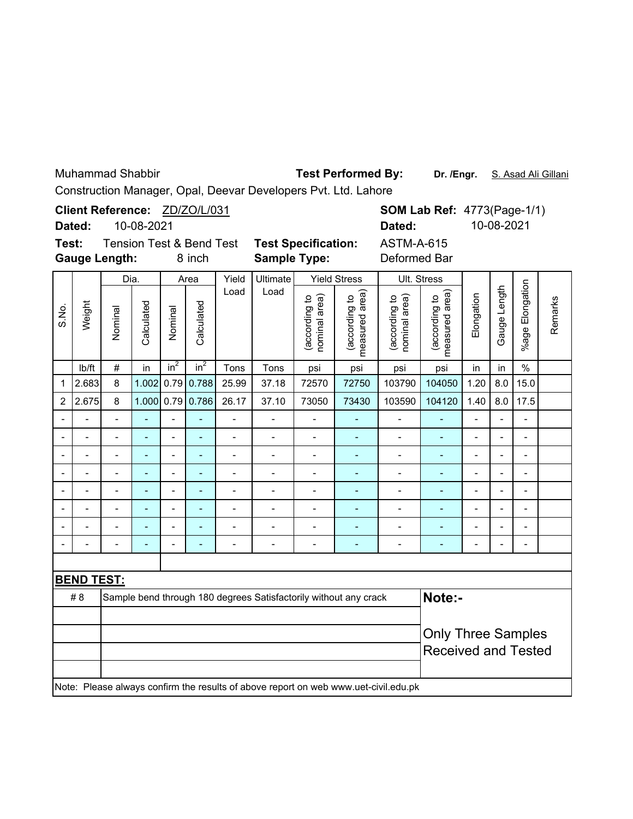Muhammad Shabbir

Test Performed By: Dr. /Engr. S. Asad Ali Gillani

Construction Manager, Opal, Deevar Developers Pvt. Ltd. Lahore

| Client Reference: ZD/ZO/L/031                |                                                                                     |                          |            |                          |                            |                                                         |                                                                  |                                |                                 | <b>SOM Lab Ref: 4773(Page-1/1)</b> |                                 |                          |              |                          |         |
|----------------------------------------------|-------------------------------------------------------------------------------------|--------------------------|------------|--------------------------|----------------------------|---------------------------------------------------------|------------------------------------------------------------------|--------------------------------|---------------------------------|------------------------------------|---------------------------------|--------------------------|--------------|--------------------------|---------|
|                                              | 10-08-2021<br>Dated:                                                                |                          |            |                          |                            |                                                         |                                                                  | Dated:                         |                                 |                                    |                                 | 10-08-2021               |              |                          |         |
| Test:<br><b>Tension Test &amp; Bend Test</b> |                                                                                     |                          |            |                          | <b>Test Specification:</b> | <b>ASTM-A-615</b>                                       |                                                                  |                                |                                 |                                    |                                 |                          |              |                          |         |
|                                              |                                                                                     | <b>Gauge Length:</b>     |            |                          | 8 inch                     |                                                         | <b>Sample Type:</b>                                              |                                |                                 | Deformed Bar                       |                                 |                          |              |                          |         |
|                                              |                                                                                     | Dia.                     |            |                          | Area                       | Yield                                                   | <b>Ultimate</b>                                                  |                                | <b>Yield Stress</b>             |                                    | Ult. Stress                     |                          |              |                          |         |
| S.No.                                        | Weight                                                                              | Nominal                  | Calculated | Nominal                  | Calculated                 | Load                                                    | Load                                                             | (according to<br>nominal area) | (according to<br>measured area) | nominal area)<br>(according to     | measured area)<br>(according to | Elongation               | Gauge Length | %age Elongation          | Remarks |
|                                              | lb/ft                                                                               | $\#$                     | in         | $in^2$                   | $in^2$                     | Tons                                                    | Tons                                                             | psi                            | psi                             | psi                                | psi                             | in                       | in           | $\%$                     |         |
| 1                                            | 2.683                                                                               | 8                        | 1.002      |                          | $0.79$ 0.788               | 25.99                                                   | 37.18                                                            | 72570                          | 72750                           | 103790                             | 104050                          | 1.20                     | 8.0          | 15.0                     |         |
| 2                                            | 2.675                                                                               | 8                        | 1.000      |                          | $0.79$ 0.786               | 26.17                                                   | 37.10                                                            | 73050                          | 73430                           | 103590                             | 104120                          | 1.40                     | 8.0          | 17.5                     |         |
|                                              |                                                                                     | $\overline{a}$           |            |                          |                            | $\overline{a}$                                          | $\overline{a}$                                                   |                                |                                 | $\overline{a}$                     |                                 |                          |              | $\overline{a}$           |         |
|                                              |                                                                                     | -                        |            |                          | $\blacksquare$             | $\overline{\phantom{a}}$                                | $\overline{\phantom{0}}$                                         | $\overline{\phantom{m}}$       | $\qquad \qquad \blacksquare$    | $\qquad \qquad \blacksquare$       | $\qquad \qquad \blacksquare$    | $\overline{\phantom{a}}$ |              | $\overline{\phantom{0}}$ |         |
|                                              | $\overline{\phantom{0}}$                                                            | $\overline{\phantom{m}}$ |            | $\overline{\phantom{a}}$ | $\blacksquare$             | $\qquad \qquad \blacksquare$                            | $\qquad \qquad \blacksquare$                                     | $\qquad \qquad \blacksquare$   | ٠                               | $\qquad \qquad \blacksquare$       | ٠                               | $\blacksquare$           |              | $\overline{a}$           |         |
|                                              |                                                                                     | $\overline{a}$           |            |                          | $\overline{a}$             | $\overline{a}$                                          | $\overline{a}$                                                   | Ĭ.                             | $\overline{\phantom{a}}$        | $\overline{\phantom{a}}$           | $\overline{a}$                  | ÷,                       |              | $\blacksquare$           |         |
|                                              |                                                                                     | $\overline{a}$           |            | $\overline{a}$           | $\blacksquare$             | -                                                       | $\blacksquare$                                                   | $\overline{\phantom{a}}$       | $\qquad \qquad \blacksquare$    | $\overline{\phantom{a}}$           | ÷,                              | $\blacksquare$           |              | L,                       |         |
|                                              |                                                                                     | $\overline{a}$           |            | L.                       | $\blacksquare$             | -                                                       | $\blacksquare$                                                   | $\overline{\phantom{a}}$       | $\overline{\phantom{a}}$        | $\overline{\phantom{a}}$           | $\qquad \qquad \blacksquare$    | $\blacksquare$           |              | $\overline{a}$           |         |
|                                              |                                                                                     |                          |            |                          | ۳                          | $\blacksquare$                                          | $\overline{a}$                                                   | $\blacksquare$                 | $\blacksquare$                  | $\overline{\phantom{a}}$           | $\blacksquare$                  | ۰                        |              | $\overline{a}$           |         |
|                                              |                                                                                     |                          |            |                          |                            | $\overline{a}$                                          |                                                                  |                                | L,                              | $\overline{a}$                     | $\overline{\phantom{a}}$        |                          |              |                          |         |
|                                              |                                                                                     |                          |            |                          |                            |                                                         |                                                                  |                                |                                 |                                    |                                 |                          |              |                          |         |
|                                              | <b>BEND TEST:</b>                                                                   |                          |            |                          |                            |                                                         |                                                                  |                                |                                 |                                    |                                 |                          |              |                          |         |
|                                              | #8                                                                                  |                          |            |                          |                            |                                                         | Sample bend through 180 degrees Satisfactorily without any crack |                                |                                 |                                    | Note:-                          |                          |              |                          |         |
|                                              |                                                                                     |                          |            |                          |                            | <b>Only Three Samples</b><br><b>Received and Tested</b> |                                                                  |                                |                                 |                                    |                                 |                          |              |                          |         |
|                                              | Note: Please always confirm the results of above report on web www.uet-civil.edu.pk |                          |            |                          |                            |                                                         |                                                                  |                                |                                 |                                    |                                 |                          |              |                          |         |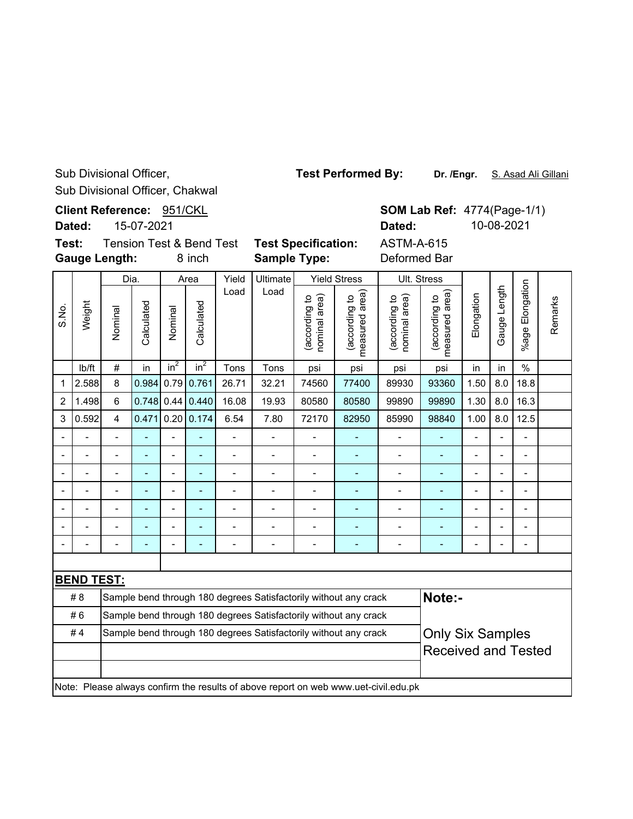Sub Divisional Officer, Chakwal Sub Divisional Officer,

Client Reference: 951/CKL **SOM Lab Ref: 4774(Page-1/1) Dated:** 10-08-2021 **Dated:** 15-07-2021 **Test:** Tension Test & Bend Test **Test Specification:** ASTM-A-615 **Gauge Length:** 8 inch **Sample Type:** Deformed Bar Dia. Area Yield Ultimate Yield Stress Ult. Stress Load Load (according to<br>measured area) (according to<br>nominal area) measured area) (according to<br>nominal area) (according to (according to (according to nominal area) nominal area) Weight Calculated Calculated S.No. Calculated Calculated Nominal Nominal

lb/ft  $\mid$  #  $\mid$  in  $\mid$  in $^{2}$   $\mid$  in $^{2}$   $\mid$  Tons  $\mid$  Tons  $\mid$  psi  $\mid$  psi  $\mid$  psi  $\mid$  in  $\mid$  in  $\mid$  % 1 |2.588| 8 |0.984| 0.79| 0.761| 26.71 | 32.21 | 74560 | 77400 | 89930 | 93360 | 1.50 | 8.0 | 18.8 2 |1.498| 6 |0.748| 0.44| 0.440| 16.08 | 19.93 | 80580 | 80580 | 99890 | 99890 | 1.30 | 8.0 | 16.3 3 |0.592| 4 |0.471|0.20|0.174| 6.54 | 7.80 | 72170 | 82950 | 85990 | 98840 | 1.00 | 8.0 | 12.5 -- - - - - - - - - - - - --

-- - - - - - - - - - - - -- -- - - - - - - - - - - - -- -- - - - - - - - - - - - -- -- - - - - - - - - - - - -- -- - - - - - - - - - - - -- -- - - - - - - - - - - - -- **BEND TEST:**

| IDENU I EJI. |                                                                                     |                            |  |  |  |  |  |  |  |  |  |  |
|--------------|-------------------------------------------------------------------------------------|----------------------------|--|--|--|--|--|--|--|--|--|--|
| #8           | Sample bend through 180 degrees Satisfactorily without any crack                    | Note:-                     |  |  |  |  |  |  |  |  |  |  |
| #6           | Sample bend through 180 degrees Satisfactorily without any crack                    |                            |  |  |  |  |  |  |  |  |  |  |
| #4           | Sample bend through 180 degrees Satisfactorily without any crack                    | <b>Only Six Samples</b>    |  |  |  |  |  |  |  |  |  |  |
|              |                                                                                     | <b>Received and Tested</b> |  |  |  |  |  |  |  |  |  |  |
|              |                                                                                     |                            |  |  |  |  |  |  |  |  |  |  |
|              | Note: Please always confirm the results of above report on web www.uet-civil.edu.pk |                            |  |  |  |  |  |  |  |  |  |  |

**Test Performed By:**

**Dr. /Engr.** S. Asad Ali Gillani

%age Elongation

%age Elongation

Gauge Length

Gauge Length

Remarks

Remarks

Elongation

(according to measured area)

(according to<br>measured area)